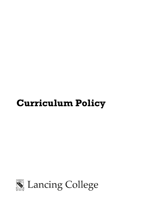# **Curriculum Policy**

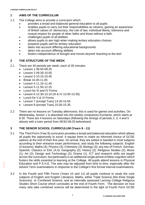# **1 AIMS OF THE CURRICULUM**

- 1.1 The College aims to provide a curriculum which:
	- provides a broad and balanced general education to all pupils
	- enables pupils to carry out their responsibilities as citizens, gaining an awareness of British values of: democracy; the rule of law; individual liberty; tolerance and mutual respect for people of other faiths and those without a faith.
	- challenges pupils of all abilities
	- allows pupils to aim high when making tertiary education choices
	- prepares pupils well for tertiary education
	- takes into account differing educational backgrounds
	- takes into account differing abilities
	- fosters independence of thought and moves beyond 'teaching to the test'

## **2 THE STRUCTURE OF THE WEEK**

- 2.1 There are 40 periods per week, each of 35 minutes:
	- Lesson 1 08.50-09.25
	- Lesson 2 09.30-10.05
	- Lesson 3 10.10-10.45
	- Break 10.45-11.05
	- Lesson 4 11.10-11.45
	- $\bullet$  Lesson 5 11.50-12.25
	- Lunch for III and IV Forms
	- Lesson 6 12.30-13.10 (III & IV 13.00-13.35)
	- Lunch for V & VI Forms
	- Lesson 7 (except Tues) 14.20-14.55
	- Lesson 8 (except Tues) 15.00-15.35
- 2.2 There are no lessons on Tuesday afternoons; this is used for games and activities. On Wednesday, lesson 1 is absorbed into the weekly compulsory Eucharist, which starts at 8.30. There are 4 lessons on Saturdays (following the timings of periods 2, 3, 4 and 5 above) with a tutor period from 08:50-09:25 beforehand.

# **3 THE SENIOR SCHOOL CURRICULUM (Years 9 - 11)**

- 3.1 The Third Form (Year 9) curriculum provides a broad and balanced education which allows all pupils the opportunity to excel. It equips them to make an informed choice of GCSE options at the end of their first year. On arrival, they are setted or banded in most subjects according to their entrance exam performance, and study the following subjects: English (4 lessons); Maths (4); Physics (3); Chemistry (3); Biology (3); any two of French, German, Spanish, Classics or EAL (4,4); Geography (2); History (2); Religious Studies (2); Music (1); Art (2); Design and Technology (2); Drama (1). ICT and research skills are taught across the curriculum, but particularly in an additional single period of Meta-cognition which fosters the skills essential to learning at the College. All pupils attend lessons in Physical Education and P.S.H.E. The sets may be adjusted from time to time, especially after the Advent Term examinations in response to the College's first formal internal examinations.
- 3.2 In the Fourth and Fifth Forms (Years 10 and 11) all pupils continue to study the core subjects of English and English Literature, Maths, either Triple Science (the three Single Sciences) or Combined Science, and an internally assessed Lancing College Religious Studies Short Course which concludes at the end of Fourth Form. The decision on how many sets take combined science will be determined in the light of Fourth Form GCSE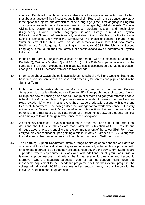choices. Pupils with combined science also study four optional subjects, one of which must be a language (if their first language is English). Pupils with triple science, only study three optional subjects, one of which must be a language (if their first language is English). The optional subjects currently offered are: Art (Photography), Art (Fine Art), Classical Civilisation, Design and Technology (Product Design), Design and Technology (Engineering), Drama, French, Geography, German, History, Latin, Music, Physical Education and Spanish. (Greek is usually available out of timetable or, for the top set of Latinists, alongside Latin within the curriculum.) The choice of options is made in the Summer Term of the Third Form. Top set Mathematicians also take Additional Maths. Pupils whose first language is not English may take IGCSE English as a Second Language. In the Fourth and Fifth Forms pupils continue to follow a programme of Physical Education and PSHE.

- 3.3 In the Fourth Form all subjects are allocated four periods, with the exception of Maths (5), English (6), Religious Studies (2) and PSHE (1). In the Fifth Form period allocation is the same as in the Fourth, except that Religious Studies is discontinued and Maths allocation changes (6). PSHE increase from one to two periods.
- 3.4 Information about GCSE choice is available on the school's VLE and website. Tutors and housemasters/housemistresses advise, and a meeting for parents and pupils is held in the Summer Term.
- 3.5 Fifth Form pupils participate in the Morrisby programme, and an annual Careers Symposium is organised in the Advent Term for Fifth Form pupils and their parents. (Lower Sixth pupils new to Lancing also attend.) A range of careers and gap year reference books is held in the Gwynne Library. Pupils may seek advice about careers from the Assistant Head (Academic) who maintains oversight of careers education, along with tutors and Heads of Department. The college does not arrange formal work experience but is very active, via its Development Office, in effecting introductions between our network of parents and former pupils to facilitate informal arrangements between students' families and employers to aid them gain experience of the workplace.
- 3.6 A preliminary choice of A Level subjects is made in the Lent Term of the Fifth Form. Final decisions about A Level choices are made after the publication of GCSE results and dialogue about choices is ongoing until the commencement of the Lower Sixth Form year, entry to this year contingent upon gaining a minimum of five 6 grades at GCSE along with the individual subject requirements for their chosen courses of Sixth Form study.
- 3.7 The Learning Support Department offers a range of strategies to enhance and develop academic skills and individual learning styles. Academically able pupils are provided with enrichment opportunities so that they are challenged beyond the curriculum. Students are supported, where appropriate, in class and with additional small group or individual learning support lessons, both within the formal academic timetable and beyond it. Moreover, where a student's particular need for learning support might mean that reasonable adjustment to their academic programme will aid their overall progress, the college will tailor their GCSE programme to best support them, in consultation with the individual student's parents/guardians.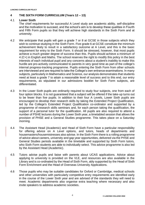## **4 THE SIXTH FORM CURRICULUM (Years 12 – 13)**

## 4.1 **Lower Sixth**

The chief requirements for successful A Level study are academic ability, self-discipline and the motivation to succeed, and the school's aim is to develop these qualities in Fourth and Fifth Form pupils so that they will achieve high standards in the Sixth Form and at university.

- 4.2 We anticipate that pupils will gain a grade 7 or 8 at GCSE in those subjects which they wish to continue studying in the Sixth Form. Five grade 6 at GCSE constitute the minimum achievement likely to result in a satisfactory outcome at A Level, and this is the basic requirement for entry to the Sixth Form. It should be stressed, however, that most pupils achieve a much greater degree of success than this. Pupils should achieve a minimum of 4 (C+) in English and Maths. The school reserves the right to modify this policy in the best interests of each individual pupil and any concerns about a student's inability to make this hurdle are pro-actively communicated to parents in very good time as part of the college's internal progress-tracking programme. Pupils entering the Sixth Form from other schools are interviewed and are required to take the College's own entrance examinations. In many subjects, particularly in Mathematics and Science, our analysis demonstrates that students need at least a grade 7 to attain a reasonable level of success and to this end, our entry requirements, as stipulated in our admissions booklet for Sixth Form subjects, are differentiated.
- 4.3 In the Lower Sixth pupils are ordinarily required to study four subjects, one from each of four option blocks. It is not guaranteed that a subject will be offered if the take-up turns out to be fewer than five pupils. In addition to their four A Levels, Lower Sixth pupils are encouraged to develop their research skills by taking the Extended Project Qualification, led by the College's Extended Project Qualification co-ordinator and supported by a programme of research skills seminars and, for each person taking the qualification, the support of a personal tutor for the qualification. All pupils are also required to attend a number of PSHE lectures during the Lower Sixth year, a timetabled session that allows the provision of PHSE and a General Studies programme. This takes place on a Saturday morning.
- 4.4 The Assistant Head (Academic) and Head of Sixth Form have a particular responsibility for offering advice on A Level options, and tutors, heads of departments and housemasters/housemistresses also advise. In the Sixth Form there is a rolling programme of advice about careers, university and gap year opportunities, delivered via the PHSE and General Studies periods available in the timetable and supported by Sixth Form tutors, who Sixth Form students are able to individually select. This advice programme is also led by the Assistant Head (Academic).
- 4.5 Tutors advise pupils and liaise with parents about UCAS applications. Advice about applying to university is provided on the VLE, and resources are also available in the Library and is co-ordinated by the Head of Sixth Form, ably supported by the Head of Sixth Form Enrichment and the Head of Overseas University Applications.
- 4.6 Those pupils who may be suitable candidates for Oxford or Cambridge, medical schools and other universities with particularly competitive entry requirements are identified early in the course of the Lower Sixth year and are advised of the standards they will need to meet. Academic departments also organise extra teaching where necessary and also invite speakers to address academic societies.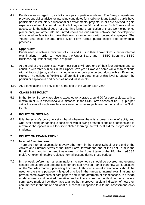4.7 Pupils are encouraged to give talks on topics of particular interest. The Biology department provides specialist advice for intending candidates for medicine. Many Lancing pupils have participated in voluntary educational or environmental projects. Pupils are advised to gain experience of employment during the holidays in the Fifth and Lower Sixth Forms and, as above, while the school does not enter into formal organisation of these work experience placements, we affect informal introductions via our alumni network and development office to allow families to make their own arrangements with potential employers. The Young Enterprise Scheme gives Sixth Form further pupils insight into commercial practices.

## 4.8 **Upper Sixth**

Pupils need to obtain a minimum of 2 Ds and 2 Es in their Lower Sixth summer internal examinations in order to move into the Upper Sixth, and in BTEC Sport and BTEC Business, equivalent progress is required.

- 4.9 At the end of the Lower Sixth year most pupils will drop one of their four subjects and so continue with three subjects in their Upper Sixth year. However, some will wish to continue with all four subjects, and a small number may only pursue two along with an Extended Project. The college is flexible to differentiating programmes at this level to support the particular aspirations and needs of individual students.
- 4.10 AS examinations are only taken at the end of the Upper Sixth year.

# **5 CLASS SIZE POLICY**

5.1 In the Senior School class size is expected to average around 20 for core subjects, with a maximum of 25 in exceptional circumstance. In the Sixth Form classes of 12-16 pupils per set is the aim although smaller class sizes in niche subjects are not unusual in the Sixth Form.

## **6 POLICY ON SETTING**

6.1 It is the school's policy to set or band wherever there is a broad range of ability and wherever setting or banding is consistent with allowing breadth of choice of options and to maximise the opportunities for differentiated learning that will best aid the progression of students.

## **7 POLICY ON EXAMINATIONS**

## 7.1 **Internal Examinations**

There are internal examinations every other term in the Senior School: at the end of the Advent and Summer terms of the Third Form, towards the end of the Lent Term in the Fourth Form, and in the penultimate week of the Advent term of the Fifth Form (GCSE trials). An exam timetable replaces normal lessons during these periods.

7.2 In the week before internal examinations no new topics should be covered and evening schools should provide opportunities for directed revision, rather than new work. Lessons on the Saturday morning preceding Third and Fifth Form internal examinations should be used for the same purpose. It is good practice in the run-up to internal examinations, to provide some awareness of past papers and, in the aftermath of examinations, to provide model answers and detailed formative feedback to ensure that pupils do not only have a summative mark of how they have attained but, moreover, a clear indication of how they can improve in the future and what a successful response to a formal assessment looks like.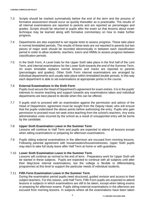- 7.3 Scripts should be marked summatively before the end of the term and the process of formative assessment should occur as quickly thereafter as is practicable. The results of all internal examinations are reported to parents and are reported as percentages and grades. Scripts should be returned to pupils after the exam so that lessons about exam technique may be learned along with formative commentary on how to make further progress.
- 7.4 Departments are also expected to set regular tests to assess progress. These take place in normal timetabled periods. The results of these tests are not reported to parents but two pieces of major work should be recorded electronically in between each classification period in order to allow students, teachers, tutors and HMMs to assess progress between classification periods.
- 7.5 In the Sixth Form, A Level trials for the Upper Sixth take place in the first half of the Lent Term, and internal examinations for the Lower Sixth towards the end of the Summer Term. An exam timetable replaces normal lessons and marks are reported to parents (percentages and grades). Other Sixth Form internal examinations are arranged by individual departments and usually take place within timetabled double periods. In this way each department is able to set examinations at appropriate points in the course.

## 7.6 **External Examinations in the Sixth Form**

Pupils must secure the Head of Department's agreement for exam entries. It is in the pupils' interests to receive teaching and support towards any examinations taken and individual departments are best placed to decide when this can be offered.

7.7 If pupils wish to proceed with an examination against the permission and advice of the Head of Department, agreement must be sought from the Deputy Head, who will ensure that the pupils understand the above points before authorising the entry. Pupils who gain permission to proceed must not seek extra teaching from the school's teachers. Any extra administrative costs incurred by the school as a result of unsupported entry will be borne by the candidate.

## 7.8 **Upper Sixth Examination Leave in the Summer Term**

Lessons will continue to Half Term and pupils are expected to attend all lessons except when sitting examinations or preparing for afternoon examinations.

7.9 Pupils sitting external examinations in the afternoon are excused from morning lessons. Following parental agreement with housemasters/housemistresses, Upper Sixth pupils may elect to take full study leave after Half Term at home or with guardians.

## 7.10 **Lower Sixth Examination Leave in the Summer Term**

Lessons will continue as normal to the end of term. Preparatory work for Upper Sixth will be started in these subjects. Pupils are expected to continue with all subjects until after their May/June internal examinations, but the college is flexible to differentiating programmes at this level to support the particular needs of individual students.

## 7.11 **Fifth Form Examination Leave in the Summer Term**

During the examination period pupils need structured, guided revision and access to their subject teachers. For this reason, until Half Term, Fifth Form pupils are expected to attend lessons in subjects in which examinations are still to be taken, except when taking exams or preparing for afternoon exams. Pupils sitting external examinations in the afternoon are excused from morning lessons. In subjects where all the examinations have been taken